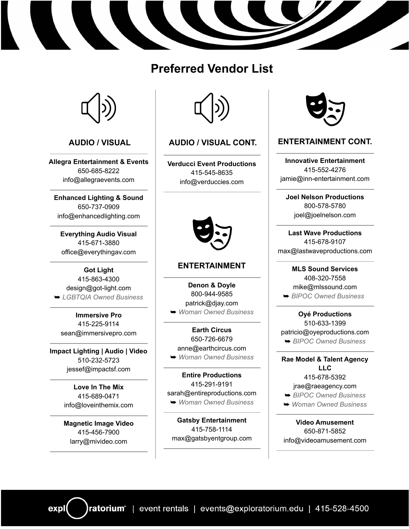# **Preferred Vendor List**



## **AUDIO / VISUAL**

**Allegra [Entertainment](http://www.allegraentertainment.com/) & Events** 650-685-8222 [info@allegraevents.com](mailto:info@allegraevents.com)

**[Enhanced](https://www.enhancedlighting.com/) Lighting & Sound** 650-737-0909 [info@enhancedlighting.com](mailto:info@enhancedlighting.com)

**[Everything](https://everythingav.com/) Audio Visual** 415-671-3880 [office@everythingav.com](mailto:office@everythingav.com)

**Got [Light](https://www.got-light.com/)** 415-863-4300 [design@got-light.com](mailto:design@got-light.com) ➥ *LGBTQIA Owned Business*

**[Immersive](https://immersivepro.com/) Pro** 415-225-9114 [sean@immersivepro.com](mailto:sean@immersivepro.com)

**Impact [Lighting](https://www.impactsf.com/) | Audio | Video** 510-232-5723 [jessef@impactsf.com](mailto:jessef@impactsf.com)

> **[Love](https://www.loveinthemix.com/) In The Mix** 415-689-0471 [info@loveinthemix.com](mailto:info@loveinthemix.com)

**Magnetic Image Video** 415-456-7900 larry@mivideo.com

expl



## **AUDIO / VISUAL CONT.**

**Verducci Event [Productions](https://www.wearevep.com/)** 415-545-8635 [info@verduccies.com](mailto:info@verduccies.com)



#### **ENTERTAINMENT**

**[Denon](https://djay.com/) & Doyle** 800-944-9585 [patrick@djay.com](mailto:patrick@djay.com) ➥ *Woman Owned Business*

**Earth [Circus](https://earthcircus.net/)** 650-726-6679 [anne@earthcircus.com](mailto:anne@earthcircus.com) ➥ *Woman Owned Business*

**Entire [Productions](https://www.entireproductions.com/)** 415-291-9191 [sarah@entireproductions.com](mailto:sarah@entireproductions.com) ➥ *Woman Owned Business*

**Gatsby [Entertainment](https://www.gatsbyentgroup.com/)** 415-758-1114 [max@gatsbyentgroup.com](mailto:max@gatsbyentgroup.com)



#### **ENTERTAINMENT CONT.**

**Innovative [Entertainment](https://inn-entertainment.com/)** 415-552-4276 [jamie@inn-entertainment.com](mailto:jamie@inn-entertainment.com)

**Joel Nelson [Productions](https://www.joelnelson.com/)** 800-578-5780 [joel@joelnelson.com](mailto:joel@joelnelson.com)

**Last Wave [Productions](https://www.lastwaveproductions.com/)** 415-678-9107 [max@lastwaveproductions.com](mailto:max@lastwaveproductions.com)

**MLS Sound [Services](https://www.mlssound.com/)** 408-320-7558 [mike@mlssound.com](mailto:mike@mlssound.com) ➥ *BIPOC Owned Business*

**Oyé [Productions](http://oyeproductions.com/)** 510-633-1399 [patricio@oyeproductions.com](mailto:patricio@oyeproductions.com) ➥ *BIPOC Owned Business*

**Rae Model & Talent [Agency](https://www.raeagency.com/) [LLC](https://www.raeagency.com/)** 415-678-5392 j[rae@raeagency.com](mailto:Jrae@raeagency.com) ➥ *BIPOC Owned Business*

➥ *Woman Owned Business*

**Video [Amusement](https://www.videoamusement.com/)** 650-871-5852 [info@videoamusement.com](mailto:info@videoamusement.com)

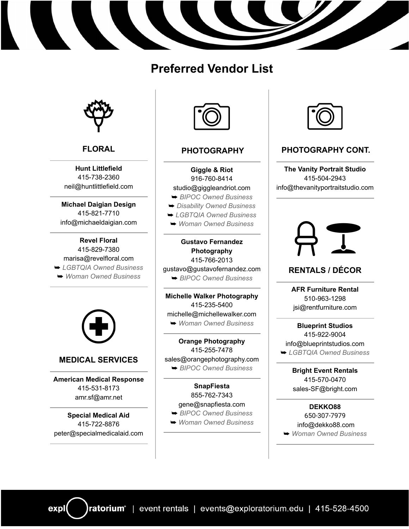# **Preferred Vendor List**



# **FLORAL**

**Hunt [Littlefield](http://www.huntlittlefield.com/)** 415-738-2360 [neil@huntlittlefield.com](mailto:neil@huntlittlefield.com)

**[Michael](http://www.michaeldaigian.com/) Daigian Design** 415-821-7710 [info@michaeldaigian.com](mailto:info@michaeldaigian.com)

#### **Revel [Floral](http://www.revelfloral.com/)** 415-829-7380 [marisa@revelfloral.com](mailto:marisa@revelfloral.com) ➥ *LGBTQIA Owned Business* ➥ *Woman Owned Business*



## **MEDICAL SERVICES**

**American Medical [Response](https://www.amr.net/)** 415-531-8173 [amr.sf@amr.net](mailto:amr.sf@amr.net)

**Special [Medical](http://specialmedicalaid.com/new-home/) Aid** 415-722-8876 [peter@specialmedicalaid.com](mailto:peter@specialmedicalaid.com)



# **PHOTOGRAPHY**

**[Giggle](https://giggleandriot.com/) & Riot** 916-760-8414 [studio@giggleandriot.com](mailto:studio@giggleandriot.com)

- ➥ *BIPOC Owned Business*
- ➥ *Disability Owned Business*
- ➥ *LGBTQIA Owned Business*
- ➥ *Woman Owned Business*

## **Gustavo [Fernandez](https://www.gustavofernandez.com/) [Photography](https://www.gustavofernandez.com/)** 415-766-2013

[gustavo@gustavofernandez.com](mailto:gustavo@gustavofernandez.com)

➥ *BIPOC Owned Business*

**Michelle Walker [Photography](https://michellewalker.com/)** 415-235-5400 [michelle@michellewalker.com](mailto:michelle@michellewalker.com) ➥ *Woman Owned Business*

**Orange [Photography](https://orangephotography.com/)** 415-255-7478 [sales@orangephotography.com](mailto:sales@orangephotography.com) ➥ *BIPOC Owned Business*

**[SnapFiesta](https://snapfiesta.com/)** 855-762-7343 [gene@snapfiesta.com](mailto:gene@snapfiesta.com) ➥ *BIPOC Owned Business*

➥ *Woman Owned Business*



# **PHOTOGRAPHY CONT.**

**The Vanity [Portrait](https://thevanityportraitstudio.com/) Studio** 415-504-2943 [info@thevanityportraitstudio.com](mailto:info@thevanityportraitstudio.com)



# **RENTALS / DÉCOR**

**AFR [Furniture](https://www.rentfurniture.com/?ctd_ac=1094110&ctd_co=1094112&ctx_name=AFR_Google&ct_Ad%20Source=DNI_AFR_Google&gclid=Cj0KCQiA0fr_BRDaARIsAABw4EsdLodgfo4ck9qWkHe6AfGpOy5kTI-B6KcCfmdfU8n_XWgQD31l6kwaAkh2EALw_wcB) Rental** 510-963-1298 [jsi@rentfurniture.com](mailto:jsi@rentfurniture.com)

**[Blueprint](https://www.blueprintstudiosnorcal.com/) Studios** 415-922-9004 [info@blueprintstudios.com](mailto:info@blueprintstudios.com) ➥ *LGBTQIA Owned Business*

> **Bright Event [Rentals](https://bright.com/)** 415-570-0470 [sales-SF@bright.com](mailto:sales-SF@bright.com)

**[DEKKO88](https://www.dekko88.com/)** 650-307-7979 [info@dekko88.com](mailto:info@dekko88.com) ➥ *Woman Owned Business*